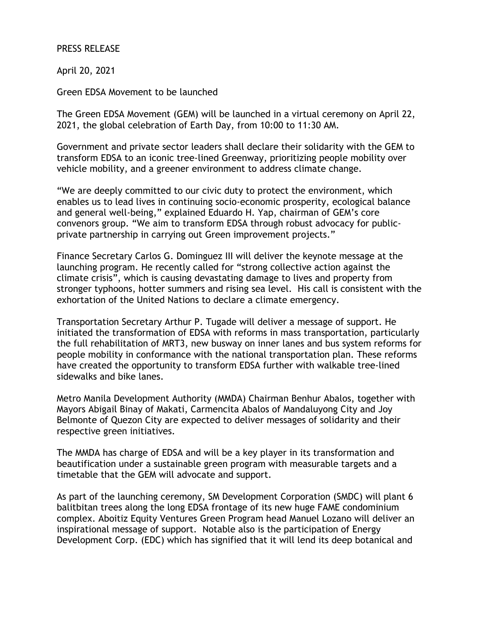## PRESS RELEASE

April 20, 2021

Green EDSA Movement to be launched

The Green EDSA Movement (GEM) will be launched in a virtual ceremony on April 22, 2021, the global celebration of Earth Day, from 10:00 to 11:30 AM.

Government and private sector leaders shall declare their solidarity with the GEM to transform EDSA to an iconic tree-lined Greenway, prioritizing people mobility over vehicle mobility, and a greener environment to address climate change.

"We are deeply committed to our civic duty to protect the environment, which enables us to lead lives in continuing socio-economic prosperity, ecological balance and general well-being," explained Eduardo H. Yap, chairman of GEM's core convenors group. "We aim to transform EDSA through robust advocacy for publicprivate partnership in carrying out Green improvement projects."

Finance Secretary Carlos G. Dominguez III will deliver the keynote message at the launching program. He recently called for "strong collective action against the climate crisis", which is causing devastating damage to lives and property from stronger typhoons, hotter summers and rising sea level. His call is consistent with the exhortation of the United Nations to declare a climate emergency.

Transportation Secretary Arthur P. Tugade will deliver a message of support. He initiated the transformation of EDSA with reforms in mass transportation, particularly the full rehabilitation of MRT3, new busway on inner lanes and bus system reforms for people mobility in conformance with the national transportation plan. These reforms have created the opportunity to transform EDSA further with walkable tree-lined sidewalks and bike lanes.

Metro Manila Development Authority (MMDA) Chairman Benhur Abalos, together with Mayors Abigail Binay of Makati, Carmencita Abalos of Mandaluyong City and Joy Belmonte of Quezon City are expected to deliver messages of solidarity and their respective green initiatives.

The MMDA has charge of EDSA and will be a key player in its transformation and beautification under a sustainable green program with measurable targets and a timetable that the GEM will advocate and support.

As part of the launching ceremony, SM Development Corporation (SMDC) will plant 6 balitbitan trees along the long EDSA frontage of its new huge FAME condominium complex. Aboitiz Equity Ventures Green Program head Manuel Lozano will deliver an inspirational message of support. Notable also is the participation of Energy Development Corp. (EDC) which has signified that it will lend its deep botanical and